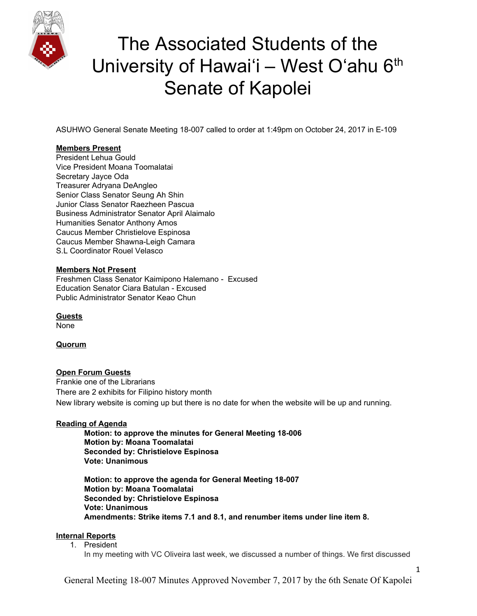

ASUHWO General Senate Meeting 18-007 called to order at 1:49pm on October 24, 2017 in E-109

## **Members Present**

President Lehua Gould Vice President Moana Toomalatai Secretary Jayce Oda Treasurer Adryana DeAngleo Senior Class Senator Seung Ah Shin Junior Class Senator Raezheen Pascua Business Administrator Senator April Alaimalo Humanities Senator Anthony Amos Caucus Member Christielove Espinosa Caucus Member Shawna-Leigh Camara S.L Coordinator Rouel Velasco

### **Members Not Present**

Freshmen Class Senator Kaimipono Halemano - Excused Education Senator Ciara Batulan - Excused Public Administrator Senator Keao Chun

**Guests** None

## **Quorum**

### **Open Forum Guests**

Frankie one of the Librarians There are 2 exhibits for Filipino history month New library website is coming up but there is no date for when the website will be up and running.

## **Reading of Agenda**

**Motion: to approve the minutes for General Meeting 18-006 Motion by: Moana Toomalatai Seconded by: Christielove Espinosa Vote: Unanimous**

**Motion: to approve the agenda for General Meeting 18-007 Motion by: Moana Toomalatai Seconded by: Christielove Espinosa Vote: Unanimous Amendments: Strike items 7.1 and 8.1, and renumber items under line item 8.**

### **Internal Reports**

1. President

In my meeting with VC Oliveira last week, we discussed a number of things. We first discussed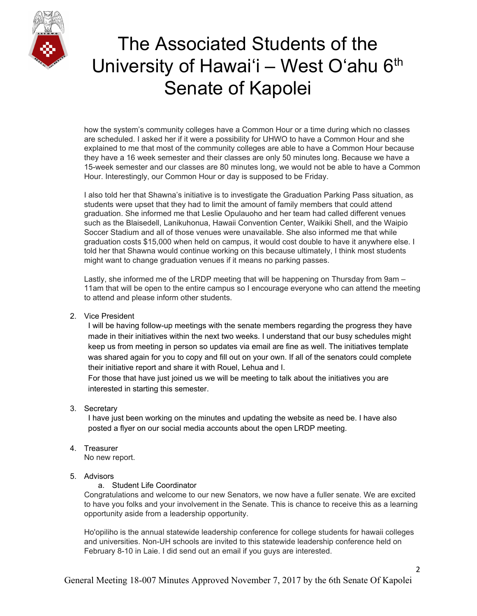

how the system's community colleges have a Common Hour or a time during which no classes are scheduled. I asked her if it were a possibility for UHWO to have a Common Hour and she explained to me that most of the community colleges are able to have a Common Hour because they have a 16 week semester and their classes are only 50 minutes long. Because we have a 15-week semester and our classes are 80 minutes long, we would not be able to have a Common Hour. Interestingly, our Common Hour or day is supposed to be Friday.

I also told her that Shawna's initiative is to investigate the Graduation Parking Pass situation, as students were upset that they had to limit the amount of family members that could attend graduation. She informed me that Leslie Opulauoho and her team had called different venues such as the Blaisedell, Lanikuhonua, Hawaii Convention Center, Waikiki Shell, and the Waipio Soccer Stadium and all of those venues were unavailable. She also informed me that while graduation costs \$15,000 when held on campus, it would cost double to have it anywhere else. I told her that Shawna would continue working on this because ultimately, I think most students might want to change graduation venues if it means no parking passes.

Lastly, she informed me of the LRDP meeting that will be happening on Thursday from 9am – 11am that will be open to the entire campus so I encourage everyone who can attend the meeting to attend and please inform other students.

2. Vice President

I will be having follow-up meetings with the senate members regarding the progress they have made in their initiatives within the next two weeks. I understand that our busy schedules might keep us from meeting in person so updates via email are fine as well. The initiatives template was shared again for you to copy and fill out on your own. If all of the senators could complete their initiative report and share it with Rouel, Lehua and I.

For those that have just joined us we will be meeting to talk about the initiatives you are interested in starting this semester.

3. Secretary

I have just been working on the minutes and updating the website as need be. I have also posted a flyer on our social media accounts about the open LRDP meeting.

4. Treasurer

No new report.

## 5. Advisors

a. Student Life Coordinator

Congratulations and welcome to our new Senators, we now have a fuller senate. We are excited to have you folks and your involvement in the Senate. This is chance to receive this as a learning opportunity aside from a leadership opportunity.

Ho'opiliho is the annual statewide leadership conference for college students for hawaii colleges and universities. Non-UH schools are invited to this statewide leadership conference held on February 8-10 in Laie. I did send out an email if you guys are interested.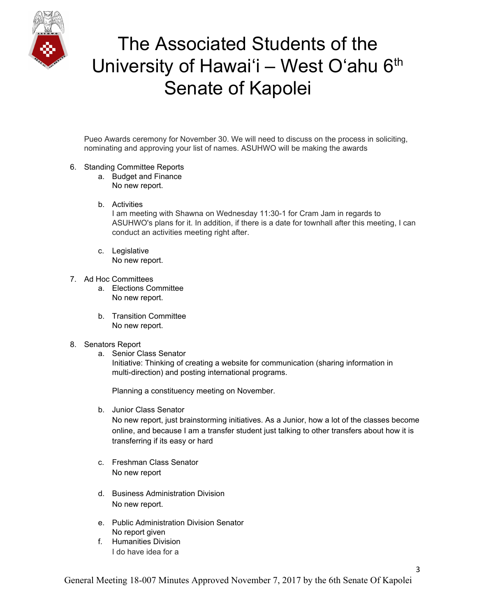

Pueo Awards ceremony for November 30. We will need to discuss on the process in soliciting, nominating and approving your list of names. ASUHWO will be making the awards

- 6. Standing Committee Reports
	- a. Budget and Finance No new report.
	- b. Activities

I am meeting with Shawna on Wednesday 11:30-1 for Cram Jam in regards to ASUHWO's plans for it. In addition, if there is a date for townhall after this meeting, I can conduct an activities meeting right after.

- c. Legislative No new report.
- 7. Ad Hoc Committees
	- a. Elections Committee No new report.
	- b. Transition Committee No new report.
- 8. Senators Report
	- a. Senior Class Senator Initiative: Thinking of creating a website for communication (sharing information in multi-direction) and posting international programs.

Planning a constituency meeting on November.

- b. Junior Class Senator No new report, just brainstorming initiatives. As a Junior, how a lot of the classes become online, and because I am a transfer student just talking to other transfers about how it is transferring if its easy or hard
- c. Freshman Class Senator No new report
- d. Business Administration Division No new report.
- e. Public Administration Division Senator No report given
- f. Humanities Division I do have idea for a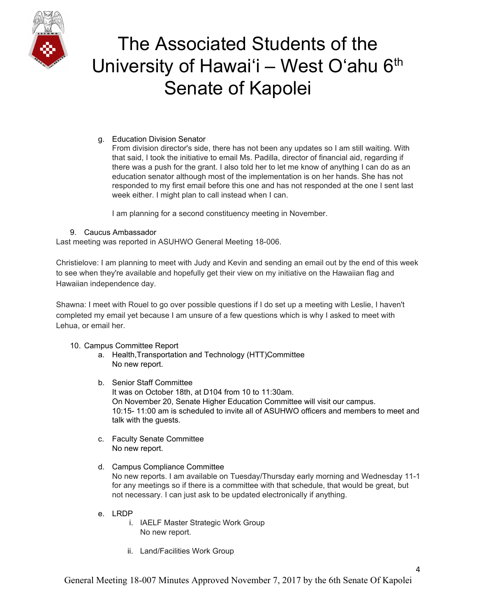

## g. Education Division Senator

From division director's side, there has not been any updates so I am still waiting. With that said, I took the initiative to email Ms. Padilla, director of financial aid, regarding if there was a push for the grant. I also told her to let me know of anything I can do as an education senator although most of the implementation is on her hands. She has not responded to my first email before this one and has not responded at the one I sent last week either. I might plan to call instead when I can.

I am planning for a second constituency meeting in November.

### 9. Caucus Ambassador

Last meeting was reported in ASUHWO General Meeting 18-006.

Christielove: I am planning to meet with Judy and Kevin and sending an email out by the end of this week to see when they're available and hopefully get their view on my initiative on the Hawaiian flag and Hawaiian independence day.

Shawna: I meet with Rouel to go over possible questions if I do set up a meeting with Leslie, I haven't completed my email yet because I am unsure of a few questions which is why I asked to meet with Lehua, or email her.

## 10. Campus Committee Report

- a. Health,Transportation and Technology (HTT)Committee No new report.
- b. Senior Staff Committee It was on October 18th, at D104 from 10 to 11:30am. On November 20, Senate Higher Education Committee will visit our campus. 10:15- 11:00 am is scheduled to invite all of ASUHWO officers and members to meet and talk with the guests.
- c. Faculty Senate Committee No new report.
- d. Campus Compliance Committee No new reports. I am available on Tuesday/Thursday early morning and Wednesday 11-1 for any meetings so if there is a committee with that schedule, that would be great, but not necessary. I can just ask to be updated electronically if anything.
- e. LRDP
	- i. IAELF Master Strategic Work Group No new report.
	- ii. Land/Facilities Work Group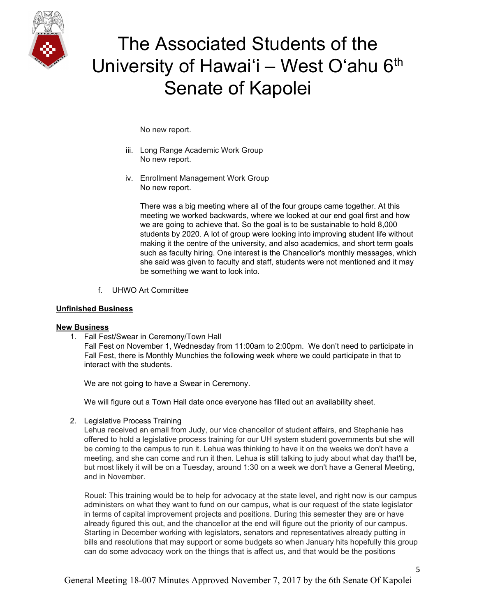

No new report.

- iii. Long Range Academic Work Group No new report.
- iv. Enrollment Management Work Group No new report.

There was a big meeting where all of the four groups came together. At this meeting we worked backwards, where we looked at our end goal first and how we are going to achieve that. So the goal is to be sustainable to hold 8,000 students by 2020. A lot of group were looking into improving student life without making it the centre of the university, and also academics, and short term goals such as faculty hiring. One interest is the Chancellor's monthly messages, which she said was given to faculty and staff, students were not mentioned and it may be something we want to look into.

f. UHWO Art Committee

#### **Unfinished Business**

#### **New Business**

1. Fall Fest/Swear in Ceremony/Town Hall

Fall Fest on November 1, Wednesday from 11:00am to 2:00pm. We don't need to participate in Fall Fest, there is Monthly Munchies the following week where we could participate in that to interact with the students.

We are not going to have a Swear in Ceremony.

We will figure out a Town Hall date once everyone has filled out an availability sheet.

2. Legislative Process Training

Lehua received an email from Judy, our vice chancellor of student affairs, and Stephanie has offered to hold a legislative process training for our UH system student governments but she will be coming to the campus to run it. Lehua was thinking to have it on the weeks we don't have a meeting, and she can come and run it then. Lehua is still talking to judy about what day that'll be, but most likely it will be on a Tuesday, around 1:30 on a week we don't have a General Meeting, and in November.

Rouel: This training would be to help for advocacy at the state level, and right now is our campus administers on what they want to fund on our campus, what is our request of the state legislator in terms of capital improvement projects and positions. During this semester they are or have already figured this out, and the chancellor at the end will figure out the priority of our campus. Starting in December working with legislators, senators and representatives already putting in bills and resolutions that may support or some budgets so when January hits hopefully this group can do some advocacy work on the things that is affect us, and that would be the positions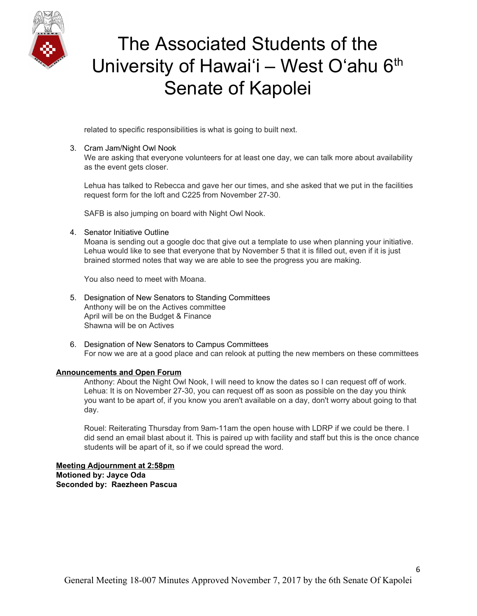

related to specific responsibilities is what is going to built next.

### 3. Cram Jam/Night Owl Nook

We are asking that everyone volunteers for at least one day, we can talk more about availability as the event gets closer.

Lehua has talked to Rebecca and gave her our times, and she asked that we put in the facilities request form for the loft and C225 from November 27-30.

SAFB is also jumping on board with Night Owl Nook.

### 4. Senator Initiative Outline

Moana is sending out a google doc that give out a template to use when planning your initiative. Lehua would like to see that everyone that by November 5 that it is filled out, even if it is just brained stormed notes that way we are able to see the progress you are making.

You also need to meet with Moana.

- 5. Designation of New Senators to Standing Committees Anthony will be on the Actives committee April will be on the Budget & Finance Shawna will be on Actives
- 6. Designation of New Senators to Campus Committees For now we are at a good place and can relook at putting the new members on these committees

### **Announcements and Open Forum**

Anthony: About the Night Owl Nook, I will need to know the dates so I can request off of work. Lehua: It is on November 27-30, you can request off as soon as possible on the day you think you want to be apart of, if you know you aren't available on a day, don't worry about going to that day.

Rouel: Reiterating Thursday from 9am-11am the open house with LDRP if we could be there. I did send an email blast about it. This is paired up with facility and staff but this is the once chance students will be apart of it, so if we could spread the word.

**Meeting Adjournment at 2:58pm Motioned by: Jayce Oda Seconded by: Raezheen Pascua**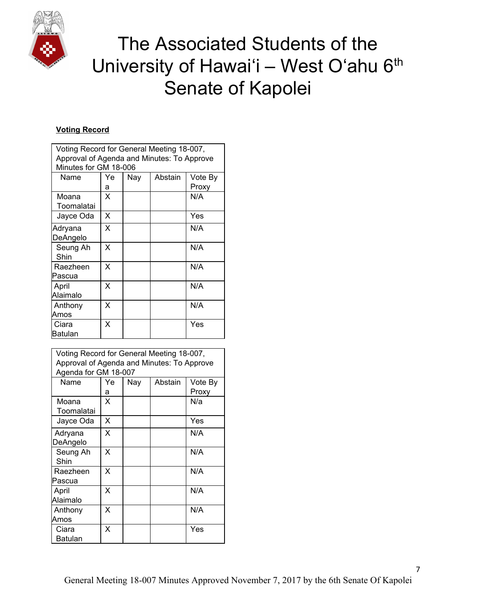

## **Voting Record**

| Voting Record for General Meeting 18-007,<br>Approval of Agenda and Minutes: To Approve |         |     |         |                  |  |  |
|-----------------------------------------------------------------------------------------|---------|-----|---------|------------------|--|--|
| Minutes for GM 18-006                                                                   |         |     |         |                  |  |  |
| Name                                                                                    | Ye<br>a | Nay | Abstain | Vote By<br>Proxy |  |  |
| Moana<br>Toomalatai                                                                     | x       |     |         | N/A              |  |  |
| Jayce Oda                                                                               | X       |     |         | Yes              |  |  |
| Adryana<br>DeAngelo                                                                     | X       |     |         | N/A              |  |  |
| Seung Ah<br>Shin                                                                        | x       |     |         | N/A              |  |  |
| Raezheen<br>Pascua                                                                      | X       |     |         | N/A              |  |  |
| April<br>Alaimalo                                                                       | X       |     |         | N/A              |  |  |
| Anthony<br>Amos                                                                         | x       |     |         | N/A              |  |  |
| Ciara<br>Batulan                                                                        | X       |     |         | Yes              |  |  |

| Voting Record for General Meeting 18-007,<br>Approval of Agenda and Minutes: To Approve<br>Agenda for GM 18-007 |         |     |         |                  |  |  |
|-----------------------------------------------------------------------------------------------------------------|---------|-----|---------|------------------|--|--|
| Name                                                                                                            | Ye<br>а | Nay | Abstain | Vote By<br>Proxy |  |  |
| Moana<br>Toomalatai                                                                                             | X       |     |         | N/a              |  |  |
| Jayce Oda                                                                                                       | X       |     |         | Yes              |  |  |
| Adryana<br>DeAngelo                                                                                             | X       |     |         | N/A              |  |  |
| Seung Ah<br>Shin                                                                                                | X       |     |         | N/A              |  |  |
| Raezheen<br>Pascua                                                                                              | x       |     |         | N/A              |  |  |
| April<br>Alaimalo                                                                                               | X       |     |         | N/A              |  |  |
| Anthony<br>Amos                                                                                                 | X       |     |         | N/A              |  |  |
| Ciara<br>Batulan                                                                                                | X       |     |         | Yes              |  |  |